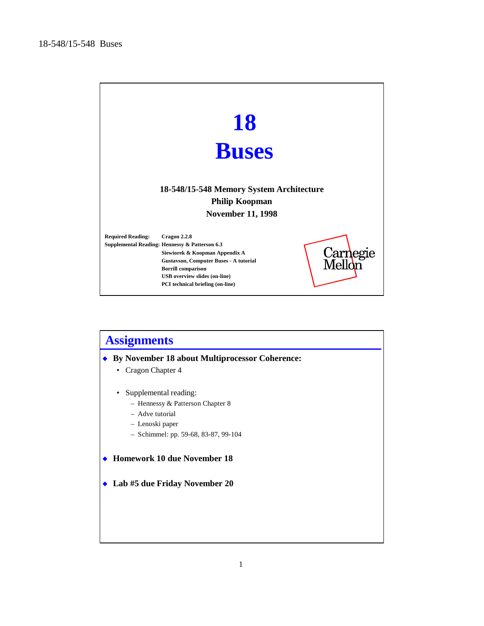

| <b>Assignments</b>                                                  |  |  |  |  |
|---------------------------------------------------------------------|--|--|--|--|
| By November 18 about Multiprocessor Coherence:                      |  |  |  |  |
| Cragon Chapter 4<br>٠                                               |  |  |  |  |
| Supplemental reading:                                               |  |  |  |  |
| - Hennessy & Patterson Chapter 8                                    |  |  |  |  |
| - Adve tutorial                                                     |  |  |  |  |
| - Lenoski paper                                                     |  |  |  |  |
| $-$ Schimmel: pp. 59-68, 83-87, 99-104                              |  |  |  |  |
| <b>Homework 10 due November 18</b><br>Lab #5 due Friday November 20 |  |  |  |  |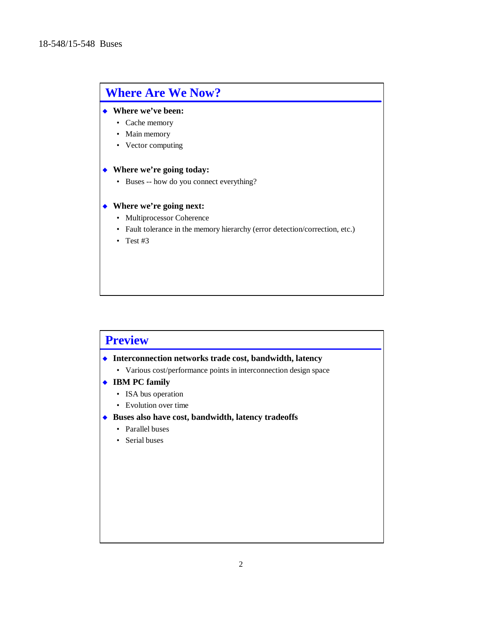# **Where Are We Now?**

### ◆ Where we've been:

- Cache memory
- Main memory
- Vector computing

#### ◆ Where we're going today:

• Buses -- how do you connect everything?

### ◆ Where we're going next:

- Multiprocessor Coherence
- Fault tolerance in the memory hierarchy (error detection/correction, etc.)
- Test #3

# **Preview**

### $\bullet$  Interconnection networks trade cost, bandwidth, latency

- Various cost/performance points in interconnection design space
- ◆ **IBM PC family** 
	- ISA bus operation
	- Evolution over time
- ◆ Buses also have cost, bandwidth, latency tradeoffs
	- Parallel buses
	- Serial buses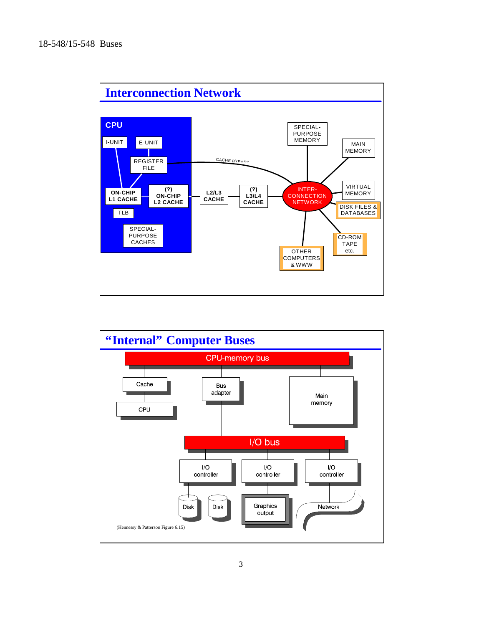

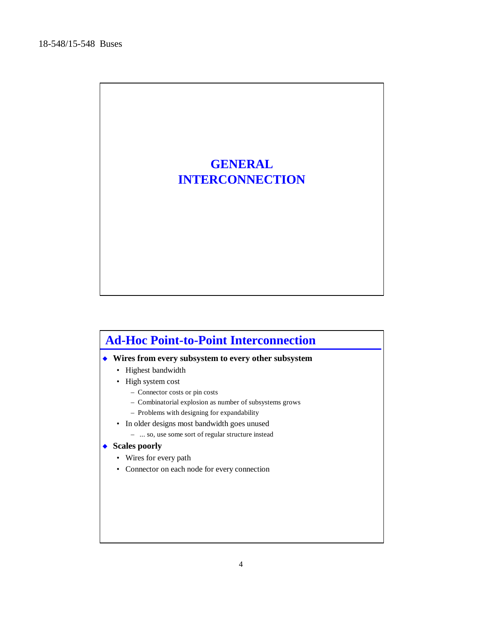

# **Ad-Hoc Point-to-Point Interconnection**

### u **Wires from every subsystem to every other subsystem**

- Highest bandwidth
- High system cost
	- Connector costs or pin costs
	- Combinatorial explosion as number of subsystems grows
	- Problems with designing for expandability
- In older designs most bandwidth goes unused
	- ... so, use some sort of regular structure instead

#### ◆ Scales poorly

- Wires for every path
- Connector on each node for every connection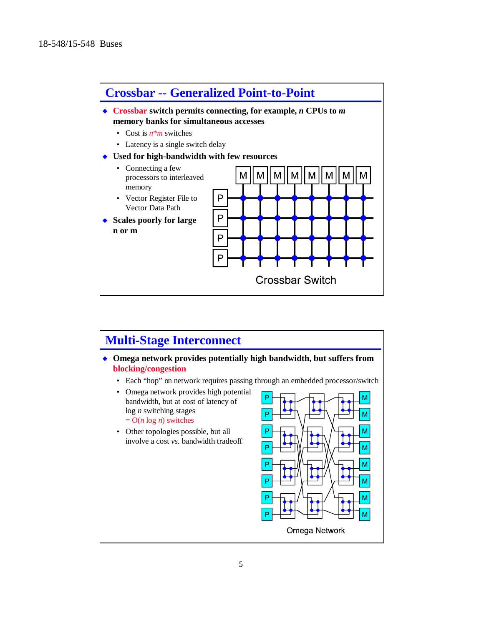

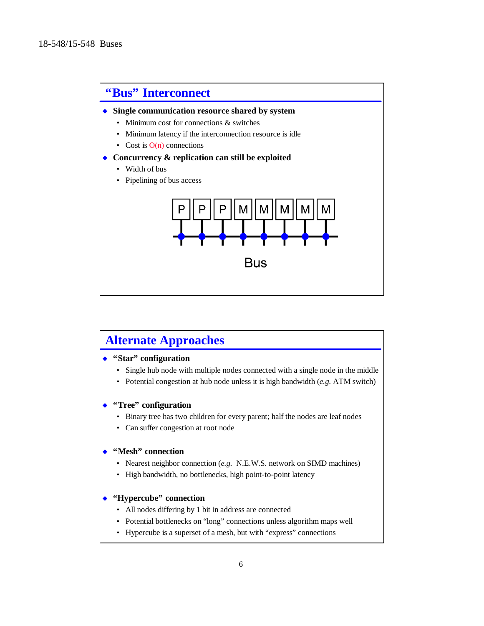

# **Alternate Approaches**

## ◆ "Star" configuration

- Single hub node with multiple nodes connected with a single node in the middle
- Potential congestion at hub node unless it is high bandwidth (*e.g.* ATM switch)

### ◆ "Tree" configuration

- Binary tree has two children for every parent; half the nodes are leaf nodes
- Can suffer congestion at root node

#### ◆ "Mesh" connection

- Nearest neighbor connection (*e.g.* N.E.W.S. network on SIMD machines)
- High bandwidth, no bottlenecks, high point-to-point latency

## ◆ "Hypercube" connection

- All nodes differing by 1 bit in address are connected
- Potential bottlenecks on "long" connections unless algorithm maps well
- Hypercube is a superset of a mesh, but with "express" connections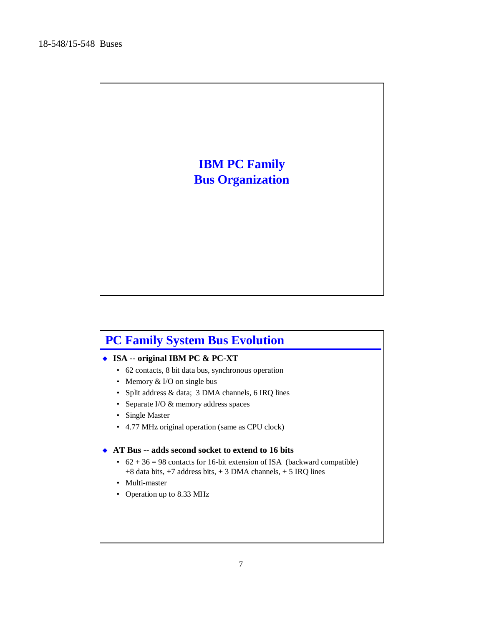

# **PC Family System Bus Evolution**

## ◆ **ISA -- original IBM PC & PC-XT**

- 62 contacts, 8 bit data bus, synchronous operation
- Memory & I/O on single bus
- Split address & data; 3 DMA channels, 6 IRQ lines
- Separate I/O & memory address spaces
- Single Master
- 4.77 MHz original operation (same as CPU clock)

### ◆ AT Bus -- adds second socket to extend to 16 bits

- $62 + 36 = 98$  contacts for 16-bit extension of ISA (backward compatible) +8 data bits, +7 address bits, + 3 DMA channels, + 5 IRQ lines
- Multi-master
- Operation up to 8.33 MHz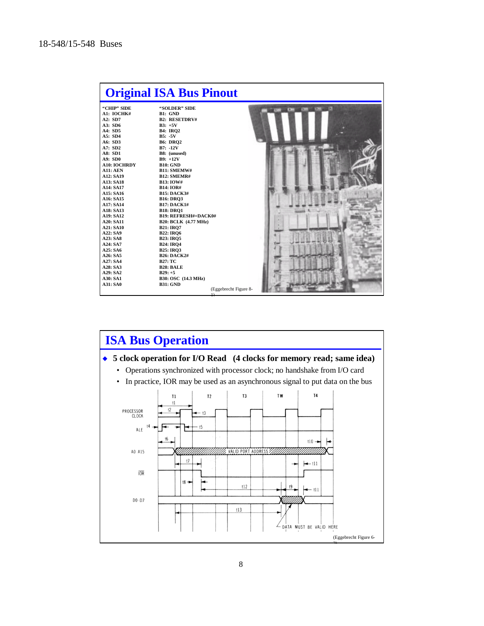| "CHIP" SIDE<br>"SOLDER" SIDE<br>A1: IOCHK#<br>B1: GND<br>A2: SD7<br><b>B2: RESETDRV#</b><br>A3: SD6<br>$B3: +5V$<br>A4: SD5<br><b>B4: IRO2</b><br>A5: SD4<br>$B5: -5V$<br>A6: SD3<br><b>B6: DRQ2</b><br>A7: SD2<br>$B7: -12V$<br>A8: SD1<br>B8: (unused)<br>A9: SD0<br>$B9: +12V$<br><b>A10: IOCHRDY</b><br><b>B10: GND</b><br><b>A11: AEN</b><br><b>B11: SMEMW#</b><br>A12: SA19<br><b>B12: SMEMR#</b><br>A13: SA18<br><b>B13: IOW#</b><br>A14: SA17<br><b>B14: IOR#</b><br>A15: SA16<br><b>B15: DACK3#</b><br>A16: SA15<br><b>B16: DRO3</b><br><b>B17: DACK1#</b><br>A17: SA14<br>A18: SA13<br><b>B18: DRO1</b><br><b>B19: REFRESH#=DACK0#</b><br>A19: SA12<br>A20: SA11<br><b>B20: BCLK (4.77 MHz)</b><br>A21: SA10<br><b>B21: IRO7</b><br>A22: SA9<br><b>B22: IRO6</b><br>A23: SA8<br><b>B23: IRQ5</b><br>A24: SA7<br><b>B24: IRQ4</b><br>A25: SA6<br><b>B25: IRO3</b><br>A26: SA5<br><b>B26: DACK2#</b><br>A27: SA4<br><b>B27: TC</b><br>A28: SA3<br><b>B28: BALE</b><br>A29: SA2<br>$B29: +5$<br>A30: SA1<br>B30: OSC (14.3 MHz) |                 | <b>Original ISA Bus Pinout</b> |  |
|----------------------------------------------------------------------------------------------------------------------------------------------------------------------------------------------------------------------------------------------------------------------------------------------------------------------------------------------------------------------------------------------------------------------------------------------------------------------------------------------------------------------------------------------------------------------------------------------------------------------------------------------------------------------------------------------------------------------------------------------------------------------------------------------------------------------------------------------------------------------------------------------------------------------------------------------------------------------------------------------------------------------------------------|-----------------|--------------------------------|--|
|                                                                                                                                                                                                                                                                                                                                                                                                                                                                                                                                                                                                                                                                                                                                                                                                                                                                                                                                                                                                                                        |                 |                                |  |
| (Eggebrecht Figure 8-                                                                                                                                                                                                                                                                                                                                                                                                                                                                                                                                                                                                                                                                                                                                                                                                                                                                                                                                                                                                                  | <b>A31: SA0</b> | <b>B31: GND</b>                |  |

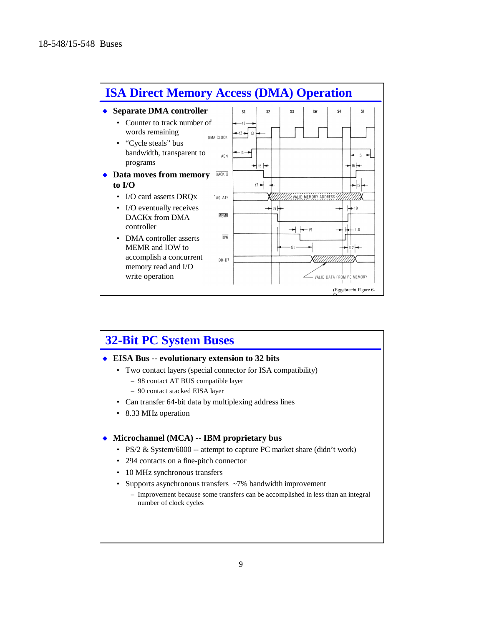

# **32-Bit PC System Buses**

#### ◆ EISA Bus -- evolutionary extension to 32 bits

- Two contact layers (special connector for ISA compatibility)
	- 98 contact AT BUS compatible layer
	- 90 contact stacked EISA layer
- Can transfer 64-bit data by multiplexing address lines
- 8.33 MHz operation

#### ◆ Microchannel (MCA) -- IBM proprietary bus

- PS/2 & System/6000 -- attempt to capture PC market share (didn't work)
- 294 contacts on a fine-pitch connector
- 10 MHz synchronous transfers
- Supports asynchronous transfers ~7% bandwidth improvement

– Improvement because some transfers can be accomplished in less than an integral number of clock cycles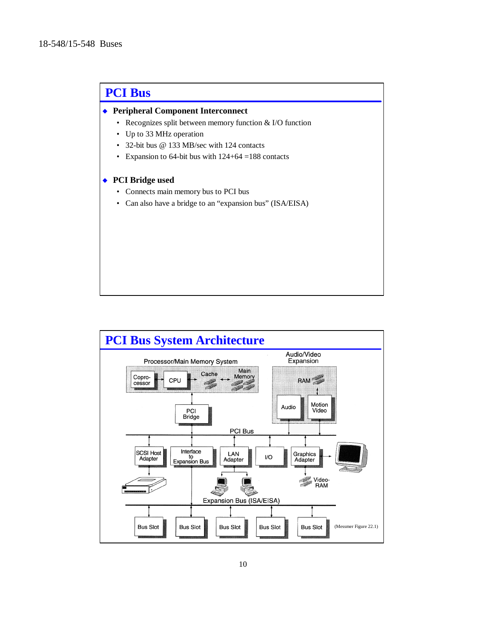# **PCI Bus**

### u **Peripheral Component Interconnect**

- Recognizes split between memory function & I/O function
- Up to 33 MHz operation
- 32-bit bus @ 133 MB/sec with 124 contacts
- Expansion to 64-bit bus with  $124+64 = 188$  contacts

#### ◆ PCI Bridge used

- Connects main memory bus to PCI bus
- Can also have a bridge to an "expansion bus" (ISA/EISA)

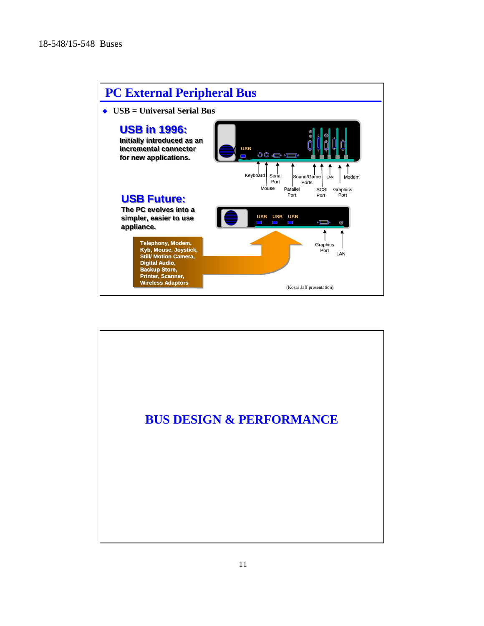

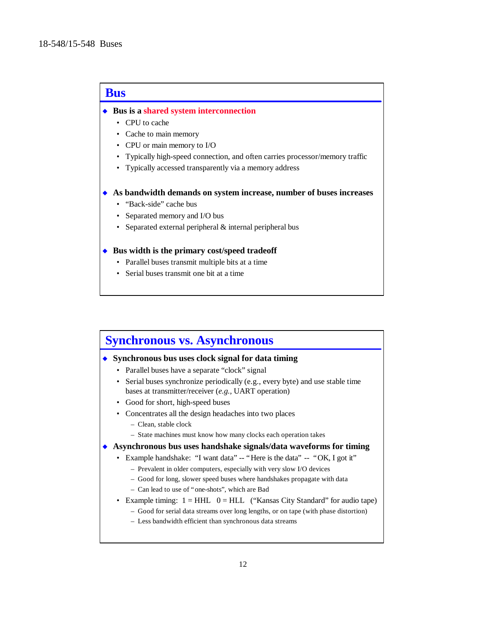# **Bus**

◆ Bus is a shared system interconnection

- CPU to cache
- Cache to main memory
- CPU or main memory to I/O
- Typically high-speed connection, and often carries processor/memory traffic
- Typically accessed transparently via a memory address
- u **As bandwidth demands on system increase, number of buses increases**
	- "Back-side" cache bus
	- Separated memory and I/O bus
	- Separated external peripheral & internal peripheral bus

#### ◆ Bus width is the primary cost/speed tradeoff

- Parallel buses transmit multiple bits at a time
- Serial buses transmit one bit at a time

# **Synchronous vs. Asynchronous**

#### ◆ Synchronous bus uses clock signal for data timing

- Parallel buses have a separate "clock" signal
- Serial buses synchronize periodically (e.g., every byte) and use stable time bases at transmitter/receiver (*e.g.,* UART operation)
- Good for short, high-speed buses
- Concentrates all the design headaches into two places
	- Clean, stable clock
	- State machines must know how many clocks each operation takes
- **Asynchronous bus uses handshake signals/data waveforms for timing** 
	- Example handshake: "I want data" -- "Here is the data" -- "OK, I got it"
		- Prevalent in older computers, especially with very slow I/O devices
		- Good for long, slower speed buses where handshakes propagate with data
		- Can lead to use of "one-shots", which are Bad
	- Example timing:  $1 = HHL$  0 = HLL ("Kansas City Standard" for audio tape)
		- Good for serial data streams over long lengths, or on tape (with phase distortion)
		- Less bandwidth efficient than synchronous data streams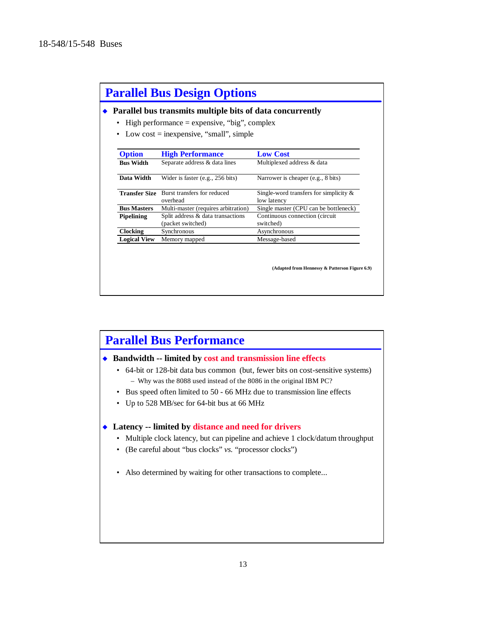|                      | Parallel bus transmits multiple bits of data concurrently |                                           |
|----------------------|-----------------------------------------------------------|-------------------------------------------|
|                      | High performance $=$ expensive, "big", complex            |                                           |
|                      | Low $cost =$ inexpensive, "small", simple                 |                                           |
|                      |                                                           |                                           |
| <b>Option</b>        | <b>High Performance</b>                                   | <b>Low Cost</b>                           |
| <b>Bus Width</b>     | Separate address & data lines                             | Multiplexed address & data                |
|                      |                                                           |                                           |
| Data Width           | Wider is faster $(e.g., 256 bits)$                        | Narrower is cheaper (e.g., 8 bits)        |
| <b>Transfer Size</b> | Burst transfers for reduced                               | Single-word transfers for simplicity $\&$ |
|                      | overhead                                                  | low latency                               |
| <b>Bus Masters</b>   | Multi-master (requires arbitration)                       | Single master (CPU can be bottleneck)     |
| <b>Pipelining</b>    | Split address & data transactions                         | Continuous connection (circuit            |
|                      | (packet switched)                                         | switched)                                 |
| <b>Clocking</b>      | Synchronous                                               | Asynchronous                              |
|                      | Memory mapped                                             | Message-based                             |

# **Parallel Bus Performance**

### ◆ Bandwidth -- limited by cost and transmission line effects

- 64-bit or 128-bit data bus common (but, fewer bits on cost-sensitive systems) – Why was the 8088 used instead of the 8086 in the original IBM PC?
- Bus speed often limited to 50 66 MHz due to transmission line effects
- Up to 528 MB/sec for 64-bit bus at 66 MHz

#### ◆ Latency -- limited by distance and need for drivers

- Multiple clock latency, but can pipeline and achieve 1 clock/datum throughput
- (Be careful about "bus clocks" *vs.* "processor clocks")
- Also determined by waiting for other transactions to complete...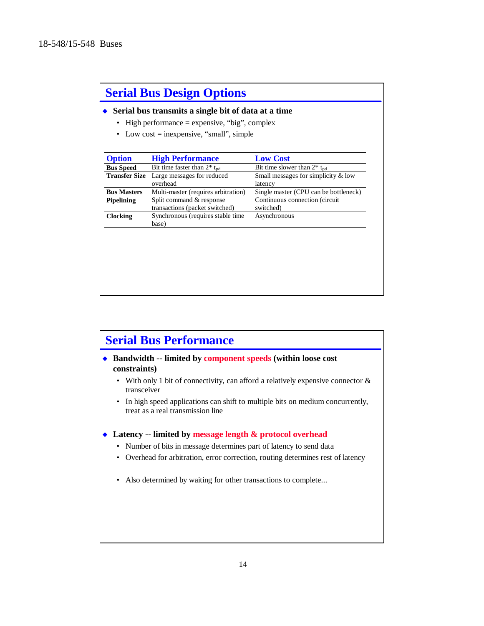| <b>Serial Bus Design Options</b><br>Serial bus transmits a single bit of data at a time<br>High performance $=$ expensive, "big", complex<br>Low $cost =$ inexpensive, "small", simple<br>٠ |                                                            |                                                  |  |  |
|---------------------------------------------------------------------------------------------------------------------------------------------------------------------------------------------|------------------------------------------------------------|--------------------------------------------------|--|--|
|                                                                                                                                                                                             |                                                            |                                                  |  |  |
| <b>Bus Speed</b>                                                                                                                                                                            | Bit time faster than $2^*$ t <sub>pd</sub>                 | Bit time slower than $2^*$ t <sub>pd</sub>       |  |  |
| <b>Transfer Size</b>                                                                                                                                                                        | Large messages for reduced<br>overhead                     | Small messages for simplicity $&$ low<br>latency |  |  |
| <b>Bus Masters</b>                                                                                                                                                                          | Multi-master (requires arbitration)                        | Single master (CPU can be bottleneck)            |  |  |
| <b>Pipelining</b>                                                                                                                                                                           | Split command & response<br>transactions (packet switched) | Continuous connection (circuit<br>switched)      |  |  |
| <b>Clocking</b>                                                                                                                                                                             | Synchronous (requires stable time<br>base)                 | Asynchronous                                     |  |  |
|                                                                                                                                                                                             |                                                            |                                                  |  |  |

# **Serial Bus Performance**

◆ Bandwidth -- limited by component speeds (within loose cost **constraints)**

- With only 1 bit of connectivity, can afford a relatively expensive connector & transceiver
- In high speed applications can shift to multiple bits on medium concurrently, treat as a real transmission line

#### ◆ Latency -- limited by message length & protocol overhead

- Number of bits in message determines part of latency to send data
- Overhead for arbitration, error correction, routing determines rest of latency
- Also determined by waiting for other transactions to complete...